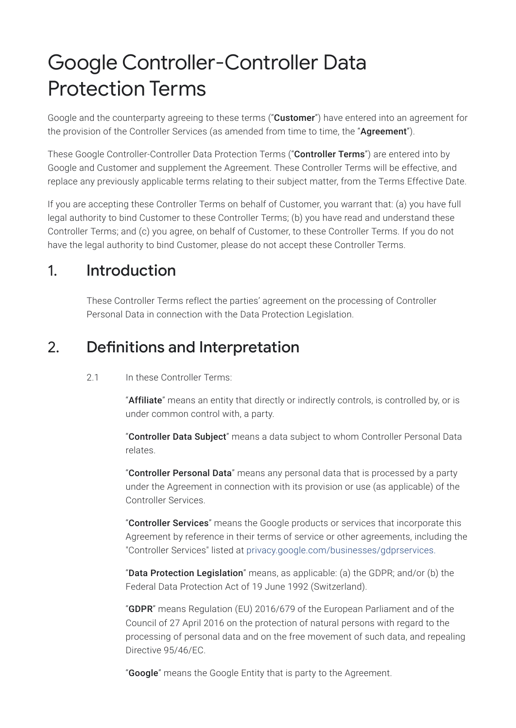# Google Controller-Controller Data Protection Terms

Google and the counterparty agreeing to these terms ("**Customer**") have entered into an agreement for the provision of the Controller Services (as amended from time to time, the "Agreement").

These Google Controller-Controller Data Protection Terms ("Controller Terms") are entered into by Google and Customer and supplement the Agreement. These Controller Terms will be effective, and replace any previously applicable terms relating to their subject matter, from the Terms Effective Date.

If you are accepting these Controller Terms on behalf of Customer, you warrant that: (a) you have full legal authority to bind Customer to these Controller Terms; (b) you have read and understand these Controller Terms; and (c) you agree, on behalf of Customer, to these Controller Terms. If you do not have the legal authority to bind Customer, please do not accept these Controller Terms.

#### 1. Introduction

These Controller Terms reflect the parties' agreement on the processing of Controller Personal Data in connection with the Data Protection Legislation.

### 2. Definitions and Interpretation

#### 2.1 In these Controller Terms:

"Affiliate" means an entity that directly or indirectly controls, is controlled by, or is under common control with, a party.

"Controller Data Subject" means a data subject to whom Controller Personal Data relates.

"Controller Personal Data" means any personal data that is processed by a party under the Agreement in connection with its provision or use (as applicable) of the Controller Services.

"Controller Services" means the Google products or services that incorporate this Agreement by reference in their terms of service or other agreements, including the "Controller Services" listed at [privacy.google.com/businesses/gdprservices.](https://privacy.google.com/businesses/gdprservices)

"Data Protection Legislation" means, as applicable: (a) the GDPR; and/or (b) the Federal Data Protection Act of 19 June 1992 (Switzerland).

"GDPR" means Regulation (EU) 2016/679 of the European Parliament and of the Council of 27 April 2016 on the protection of natural persons with regard to the processing of personal data and on the free movement of such data, and repealing Directive 95/46/EC.

"Google" means the Google Entity that is party to the Agreement.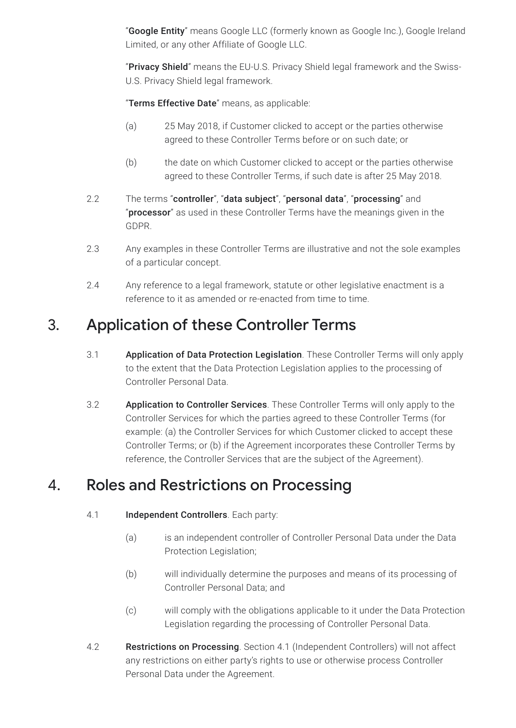"Google Entity" means Google LLC (formerly known as Google Inc.), Google Ireland Limited, or any other Affiliate of Google LLC.

"Privacy Shield" means the EU-U.S. Privacy Shield legal framework and the Swiss-U.S. Privacy Shield legal framework.

"Terms Effective Date" means, as applicable:

- (a) 25 May 2018, if Customer clicked to accept or the parties otherwise agreed to these Controller Terms before or on such date; or
- (b) the date on which Customer clicked to accept or the parties otherwise agreed to these Controller Terms, if such date is after 25 May 2018.
- 2.2 The terms "controller", "data subject", "personal data", "processing" and "processor" as used in these Controller Terms have the meanings given in the GDPR.
- 2.3 Any examples in these Controller Terms are illustrative and not the sole examples of a particular concept.
- 2.4 Any reference to a legal framework, statute or other legislative enactment is a reference to it as amended or re-enacted from time to time.

#### 3. Application of these Controller Terms

- 3.1 **Application of Data Protection Legislation**. These Controller Terms will only apply to the extent that the Data Protection Legislation applies to the processing of Controller Personal Data.
- 3.2 **Application to Controller Services**. These Controller Terms will only apply to the Controller Services for which the parties agreed to these Controller Terms (for example: (a) the Controller Services for which Customer clicked to accept these Controller Terms; or (b) if the Agreement incorporates these Controller Terms by reference, the Controller Services that are the subject of the Agreement).

### 4. Roles and Restrictions on Processing

#### 4.1 **Independent Controllers**. Each party:

- (a) is an independent controller of Controller Personal Data under the Data Protection Legislation;
- (b) will individually determine the purposes and means of its processing of Controller Personal Data; and
- (c) will comply with the obligations applicable to it under the Data Protection Legislation regarding the processing of Controller Personal Data.
- 4.2 Restrictions on Processing. Section 4.1 (Independent Controllers) will not affect any restrictions on either party's rights to use or otherwise process Controller Personal Data under the Agreement.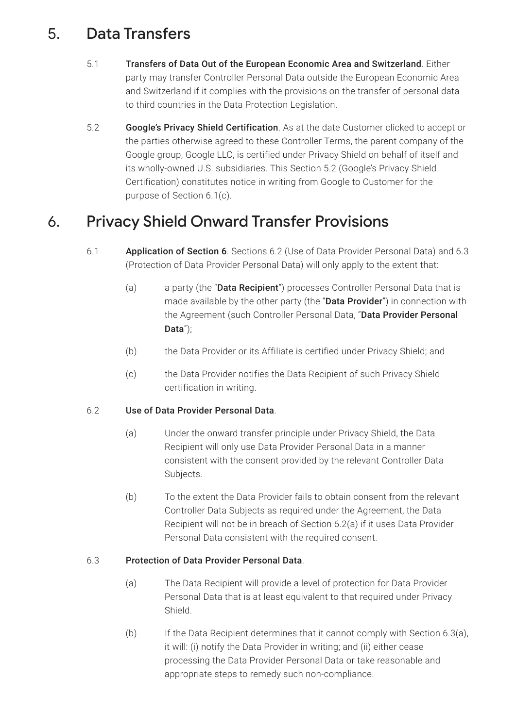### 5. Data Transfers

- 5.1 Transfers of Data Out of the European Economic Area and Switzerland. Either party may transfer Controller Personal Data outside the European Economic Area and Switzerland if it complies with the provisions on the transfer of personal data to third countries in the Data Protection Legislation.
- 5.2 Google's Privacy Shield Certification. As at the date Customer clicked to accept or the parties otherwise agreed to these Controller Terms, the parent company of the Google group, Google LLC, is certified under Privacy Shield on behalf of itself and its wholly-owned U.S. subsidiaries. This Section 5.2 (Google's Privacy Shield Certification) constitutes notice in writing from Google to Customer for the purpose of Section 6.1(c).

### 6. Privacy Shield Onward Transfer Provisions

- 6.1 Application of Section 6. Sections 6.2 (Use of Data Provider Personal Data) and 6.3 (Protection of Data Provider Personal Data) will only apply to the extent that:
	- (a) a party (the "**Data Recipient**") processes Controller Personal Data that is made available by the other party (the "Data Provider") in connection with the Agreement (such Controller Personal Data, "Data Provider Personal Data");
	- (b) the Data Provider or its Affiliate is certified under Privacy Shield; and
	- (c) the Data Provider notifies the Data Recipient of such Privacy Shield certification in writing.

#### 6.2 Use of Data Provider Personal Data.

- (a) Under the onward transfer principle under Privacy Shield, the Data Recipient will only use Data Provider Personal Data in a manner consistent with the consent provided by the relevant Controller Data Subjects.
- (b) To the extent the Data Provider fails to obtain consent from the relevant Controller Data Subjects as required under the Agreement, the Data Recipient will not be in breach of Section 6.2(a) if it uses Data Provider Personal Data consistent with the required consent.

#### 6.3 Protection of Data Provider Personal Data.

- (a) The Data Recipient will provide a level of protection for Data Provider Personal Data that is at least equivalent to that required under Privacy Shield.
- (b) If the Data Recipient determines that it cannot comply with Section 6.3(a), it will: (i) notify the Data Provider in writing; and (ii) either cease processing the Data Provider Personal Data or take reasonable and appropriate steps to remedy such non-compliance.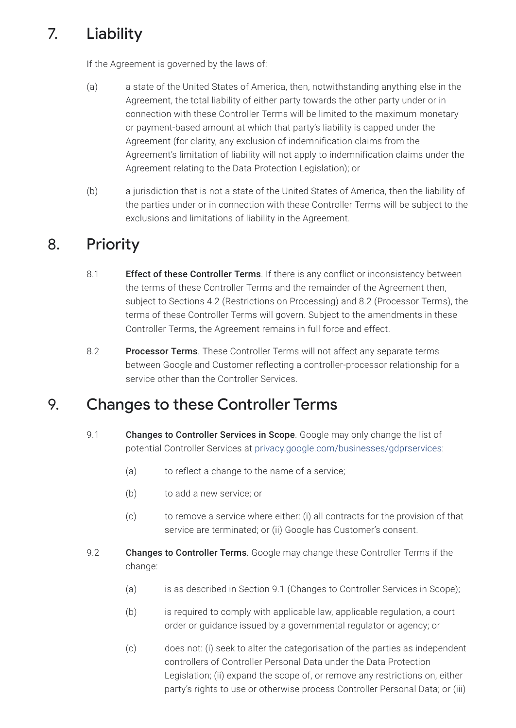# 7. Liability

If the Agreement is governed by the laws of:

- (a) a state of the United States of America, then, notwithstanding anything else in the Agreement, the total liability of either party towards the other party under or in connection with these Controller Terms will be limited to the maximum monetary or payment-based amount at which that party's liability is capped under the Agreement (for clarity, any exclusion of indemnification claims from the Agreement's limitation of liability will not apply to indemnification claims under the Agreement relating to the Data Protection Legislation); or
- (b) a jurisdiction that is not a state of the United States of America, then the liability of the parties under or in connection with these Controller Terms will be subject to the exclusions and limitations of liability in the Agreement.

### 8. Priority

- 8.1 **Effect of these Controller Terms**. If there is any conflict or inconsistency between the terms of these Controller Terms and the remainder of the Agreement then, subject to Sections 4.2 (Restrictions on Processing) and 8.2 (Processor Terms), the terms of these Controller Terms will govern. Subject to the amendments in these Controller Terms, the Agreement remains in full force and effect.
- 8.2 **Processor Terms**. These Controller Terms will not affect any separate terms between Google and Customer reflecting a controller-processor relationship for a service other than the Controller Services.

## 9. Changes to these Controller Terms

- 9.1 Changes to Controller Services in Scope. Google may only change the list of potential Controller Services at [privacy.google.com/businesses/gdprservices:](https://privacy.google.com/businesses/gdprservices)
	- (a) to reflect a change to the name of a service;
	- (b) to add a new service; or
	- (c) to remove a service where either: (i) all contracts for the provision of that service are terminated; or (ii) Google has Customer's consent.
- 9.2 **Changes to Controller Terms**. Google may change these Controller Terms if the change:
	- (a) is as described in Section 9.1 (Changes to Controller Services in Scope);
	- (b) is required to comply with applicable law, applicable regulation, a court order or guidance issued by a governmental regulator or agency; or
	- (c) does not: (i) seek to alter the categorisation of the parties as independent controllers of Controller Personal Data under the Data Protection Legislation; (ii) expand the scope of, or remove any restrictions on, either party's rights to use or otherwise process Controller Personal Data; or (iii)